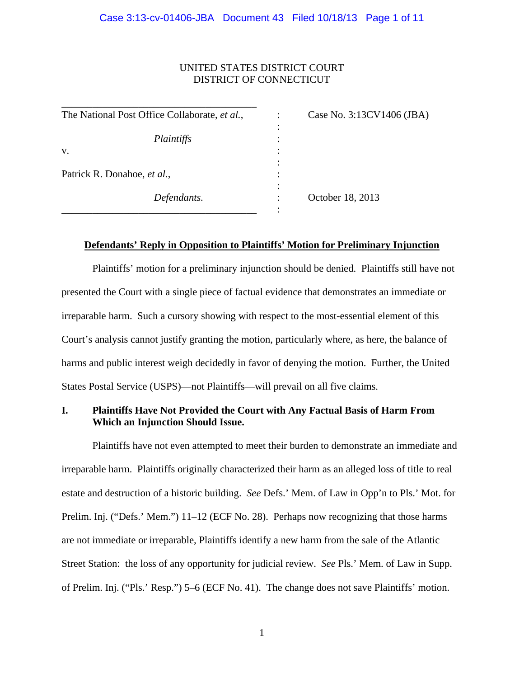## UNITED STATES DISTRICT COURT DISTRICT OF CONNECTICUT

| The National Post Office Collaborate, et al., | Case No. 3:13CV1406 (JBA) |
|-----------------------------------------------|---------------------------|
|                                               |                           |
| Plaintiffs                                    |                           |
| V.                                            |                           |
|                                               |                           |
| Patrick R. Donahoe, et al.,                   |                           |
|                                               |                           |
| Defendants.                                   | October 18, 2013          |
|                                               |                           |

### **Defendants' Reply in Opposition to Plaintiffs' Motion for Preliminary Injunction**

Plaintiffs' motion for a preliminary injunction should be denied. Plaintiffs still have not presented the Court with a single piece of factual evidence that demonstrates an immediate or irreparable harm. Such a cursory showing with respect to the most-essential element of this Court's analysis cannot justify granting the motion, particularly where, as here, the balance of harms and public interest weigh decidedly in favor of denying the motion. Further, the United States Postal Service (USPS)—not Plaintiffs—will prevail on all five claims.

## **I. Plaintiffs Have Not Provided the Court with Any Factual Basis of Harm From Which an Injunction Should Issue.**

Plaintiffs have not even attempted to meet their burden to demonstrate an immediate and irreparable harm. Plaintiffs originally characterized their harm as an alleged loss of title to real estate and destruction of a historic building. *See* Defs.' Mem. of Law in Opp'n to Pls.' Mot. for Prelim. Inj. ("Defs.' Mem.") 11–12 (ECF No. 28). Perhaps now recognizing that those harms are not immediate or irreparable, Plaintiffs identify a new harm from the sale of the Atlantic Street Station: the loss of any opportunity for judicial review. *See* Pls.' Mem. of Law in Supp. of Prelim. Inj. ("Pls.' Resp.") 5–6 (ECF No. 41). The change does not save Plaintiffs' motion.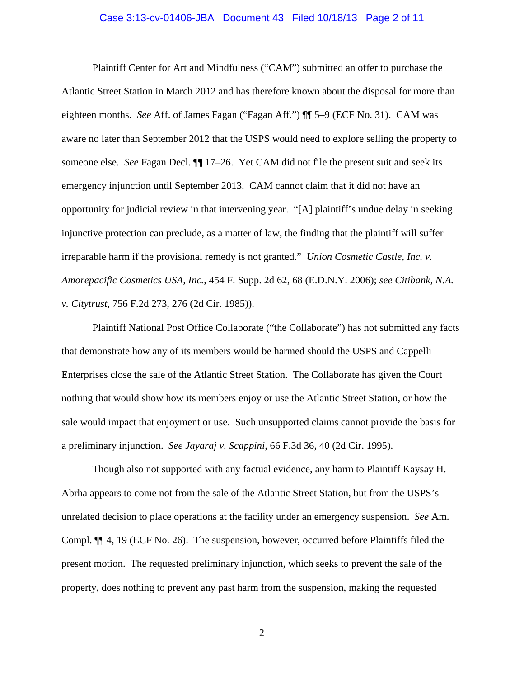# Case 3:13-cv-01406-JBA Document 43 Filed 10/18/13 Page 2 of 11

Plaintiff Center for Art and Mindfulness ("CAM") submitted an offer to purchase the Atlantic Street Station in March 2012 and has therefore known about the disposal for more than eighteen months. *See* Aff. of James Fagan ("Fagan Aff.") ¶¶ 5–9 (ECF No. 31). CAM was aware no later than September 2012 that the USPS would need to explore selling the property to someone else. *See* Fagan Decl. ¶¶ 17–26. Yet CAM did not file the present suit and seek its emergency injunction until September 2013. CAM cannot claim that it did not have an opportunity for judicial review in that intervening year. "[A] plaintiff's undue delay in seeking injunctive protection can preclude, as a matter of law, the finding that the plaintiff will suffer irreparable harm if the provisional remedy is not granted." *Union Cosmetic Castle, Inc. v. Amorepacific Cosmetics USA, Inc.*, 454 F. Supp. 2d 62, 68 (E.D.N.Y. 2006); *see Citibank, N.A. v. Citytrust*, 756 F.2d 273, 276 (2d Cir. 1985)).

Plaintiff National Post Office Collaborate ("the Collaborate") has not submitted any facts that demonstrate how any of its members would be harmed should the USPS and Cappelli Enterprises close the sale of the Atlantic Street Station. The Collaborate has given the Court nothing that would show how its members enjoy or use the Atlantic Street Station, or how the sale would impact that enjoyment or use. Such unsupported claims cannot provide the basis for a preliminary injunction. *See Jayaraj v. Scappini*, 66 F.3d 36, 40 (2d Cir. 1995).

Though also not supported with any factual evidence, any harm to Plaintiff Kaysay H. Abrha appears to come not from the sale of the Atlantic Street Station, but from the USPS's unrelated decision to place operations at the facility under an emergency suspension. *See* Am. Compl. ¶¶ 4, 19 (ECF No. 26). The suspension, however, occurred before Plaintiffs filed the present motion. The requested preliminary injunction, which seeks to prevent the sale of the property, does nothing to prevent any past harm from the suspension, making the requested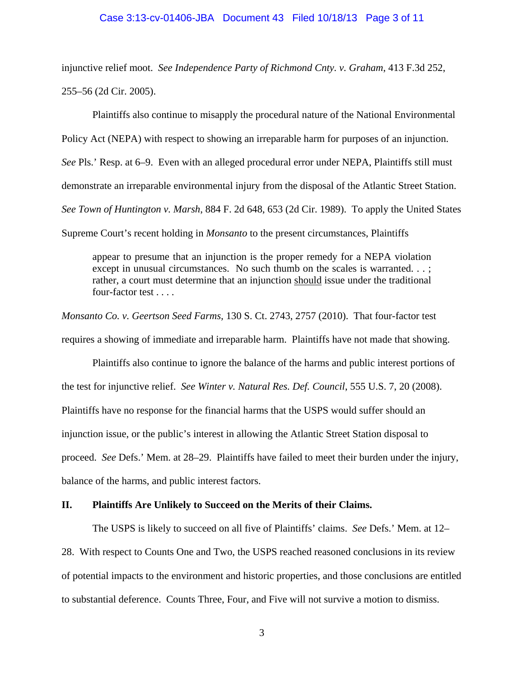### Case 3:13-cv-01406-JBA Document 43 Filed 10/18/13 Page 3 of 11

injunctive relief moot. *See Independence Party of Richmond Cnty. v. Graham*, 413 F.3d 252, 255–56 (2d Cir. 2005).

Plaintiffs also continue to misapply the procedural nature of the National Environmental Policy Act (NEPA) with respect to showing an irreparable harm for purposes of an injunction. *See* Pls.' Resp. at 6–9. Even with an alleged procedural error under NEPA, Plaintiffs still must demonstrate an irreparable environmental injury from the disposal of the Atlantic Street Station. *See Town of Huntington v. Marsh*, 884 F. 2d 648, 653 (2d Cir. 1989). To apply the United States Supreme Court's recent holding in *Monsanto* to the present circumstances, Plaintiffs

appear to presume that an injunction is the proper remedy for a NEPA violation except in unusual circumstances. No such thumb on the scales is warranted...; rather, a court must determine that an injunction should issue under the traditional four-factor test . . . .

*Monsanto Co. v. Geertson Seed Farms,* 130 S. Ct. 2743, 2757 (2010). That four-factor test requires a showing of immediate and irreparable harm. Plaintiffs have not made that showing.

 Plaintiffs also continue to ignore the balance of the harms and public interest portions of the test for injunctive relief. *See Winter v. Natural Res. Def. Council*, 555 U.S. 7, 20 (2008). Plaintiffs have no response for the financial harms that the USPS would suffer should an injunction issue, or the public's interest in allowing the Atlantic Street Station disposal to proceed. *See* Defs.' Mem. at 28–29. Plaintiffs have failed to meet their burden under the injury, balance of the harms, and public interest factors.

## **II. Plaintiffs Are Unlikely to Succeed on the Merits of their Claims.**

The USPS is likely to succeed on all five of Plaintiffs' claims. *See* Defs.' Mem. at 12–

28. With respect to Counts One and Two, the USPS reached reasoned conclusions in its review of potential impacts to the environment and historic properties, and those conclusions are entitled to substantial deference. Counts Three, Four, and Five will not survive a motion to dismiss.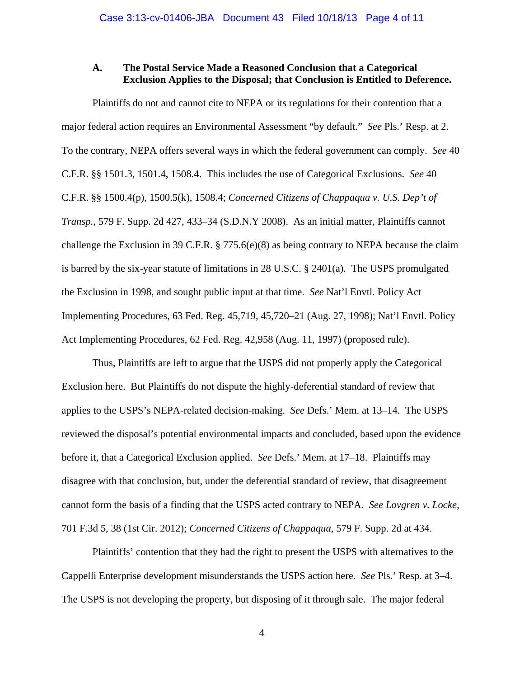## **A. The Postal Service Made a Reasoned Conclusion that a Categorical Exclusion Applies to the Disposal; that Conclusion is Entitled to Deference.**

Plaintiffs do not and cannot cite to NEPA or its regulations for their contention that a major federal action requires an Environmental Assessment "by default." *See* Pls.' Resp. at 2. To the contrary, NEPA offers several ways in which the federal government can comply. *See* 40 C.F.R. §§ 1501.3, 1501.4, 1508.4. This includes the use of Categorical Exclusions. *See* 40 C.F.R. §§ 1500.4(p), 1500.5(k), 1508.4; *Concerned Citizens of Chappaqua v. U.S. Dep't of Transp.*, 579 F. Supp. 2d 427, 433–34 (S.D.N.Y 2008). As an initial matter, Plaintiffs cannot challenge the Exclusion in 39 C.F.R. § 775.6(e)(8) as being contrary to NEPA because the claim is barred by the six-year statute of limitations in 28 U.S.C. § 2401(a). The USPS promulgated the Exclusion in 1998, and sought public input at that time. *See* Nat'l Envtl. Policy Act Implementing Procedures, 63 Fed. Reg. 45,719, 45,720–21 (Aug. 27, 1998); Nat'l Envtl. Policy Act Implementing Procedures, 62 Fed. Reg. 42,958 (Aug. 11, 1997) (proposed rule).

Thus, Plaintiffs are left to argue that the USPS did not properly apply the Categorical Exclusion here. But Plaintiffs do not dispute the highly-deferential standard of review that applies to the USPS's NEPA-related decision-making. *See* Defs.' Mem. at 13–14. The USPS reviewed the disposal's potential environmental impacts and concluded, based upon the evidence before it, that a Categorical Exclusion applied. *See* Defs.' Mem. at 17–18. Plaintiffs may disagree with that conclusion, but, under the deferential standard of review, that disagreement cannot form the basis of a finding that the USPS acted contrary to NEPA. *See Lovgren v. Locke*, 701 F.3d 5, 38 (1st Cir. 2012); *Concerned Citizens of Chappaqua*, 579 F. Supp. 2d at 434.

Plaintiffs' contention that they had the right to present the USPS with alternatives to the Cappelli Enterprise development misunderstands the USPS action here. *See* Pls.' Resp. at 3–4. The USPS is not developing the property, but disposing of it through sale. The major federal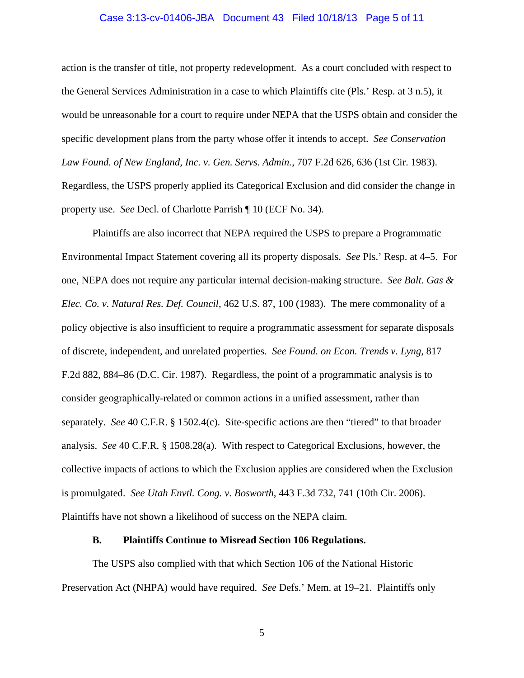# Case 3:13-cv-01406-JBA Document 43 Filed 10/18/13 Page 5 of 11

action is the transfer of title, not property redevelopment. As a court concluded with respect to the General Services Administration in a case to which Plaintiffs cite (Pls.' Resp. at 3 n.5), it would be unreasonable for a court to require under NEPA that the USPS obtain and consider the specific development plans from the party whose offer it intends to accept. *See Conservation Law Found. of New England, Inc. v. Gen. Servs. Admin.*, 707 F.2d 626, 636 (1st Cir. 1983). Regardless, the USPS properly applied its Categorical Exclusion and did consider the change in property use. *See* Decl. of Charlotte Parrish ¶ 10 (ECF No. 34).

Plaintiffs are also incorrect that NEPA required the USPS to prepare a Programmatic Environmental Impact Statement covering all its property disposals. *See* Pls.' Resp. at 4–5. For one, NEPA does not require any particular internal decision-making structure. *See Balt. Gas & Elec. Co. v. Natural Res. Def. Council*, 462 U.S. 87, 100 (1983). The mere commonality of a policy objective is also insufficient to require a programmatic assessment for separate disposals of discrete, independent, and unrelated properties. *See Found. on Econ. Trends v. Lyng*, 817 F.2d 882, 884–86 (D.C. Cir. 1987). Regardless, the point of a programmatic analysis is to consider geographically-related or common actions in a unified assessment, rather than separately. *See* 40 C.F.R. § 1502.4(c). Site-specific actions are then "tiered" to that broader analysis. *See* 40 C.F.R. § 1508.28(a). With respect to Categorical Exclusions, however, the collective impacts of actions to which the Exclusion applies are considered when the Exclusion is promulgated. *See Utah Envtl. Cong. v. Bosworth*, 443 F.3d 732, 741 (10th Cir. 2006). Plaintiffs have not shown a likelihood of success on the NEPA claim.

#### **B. Plaintiffs Continue to Misread Section 106 Regulations.**

The USPS also complied with that which Section 106 of the National Historic Preservation Act (NHPA) would have required. *See* Defs.' Mem. at 19–21. Plaintiffs only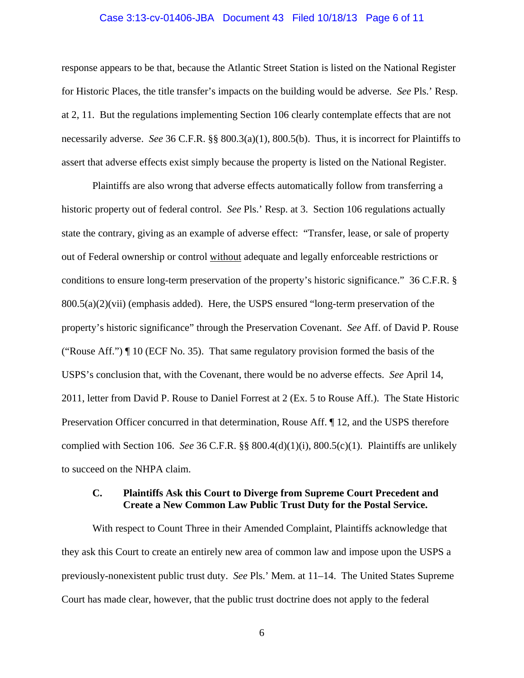# Case 3:13-cv-01406-JBA Document 43 Filed 10/18/13 Page 6 of 11

response appears to be that, because the Atlantic Street Station is listed on the National Register for Historic Places, the title transfer's impacts on the building would be adverse. *See* Pls.' Resp. at 2, 11. But the regulations implementing Section 106 clearly contemplate effects that are not necessarily adverse. *See* 36 C.F.R. §§ 800.3(a)(1), 800.5(b). Thus, it is incorrect for Plaintiffs to assert that adverse effects exist simply because the property is listed on the National Register.

Plaintiffs are also wrong that adverse effects automatically follow from transferring a historic property out of federal control. *See* Pls.' Resp. at 3. Section 106 regulations actually state the contrary, giving as an example of adverse effect: "Transfer, lease, or sale of property out of Federal ownership or control without adequate and legally enforceable restrictions or conditions to ensure long-term preservation of the property's historic significance." 36 C.F.R. § 800.5(a)(2)(vii) (emphasis added). Here, the USPS ensured "long-term preservation of the property's historic significance" through the Preservation Covenant. *See* Aff. of David P. Rouse ("Rouse Aff.") ¶ 10 (ECF No. 35). That same regulatory provision formed the basis of the USPS's conclusion that, with the Covenant, there would be no adverse effects. *See* April 14, 2011, letter from David P. Rouse to Daniel Forrest at 2 (Ex. 5 to Rouse Aff.). The State Historic Preservation Officer concurred in that determination, Rouse Aff. ¶ 12, and the USPS therefore complied with Section 106. *See* 36 C.F.R. §§ 800.4(d)(1)(i), 800.5(c)(1). Plaintiffs are unlikely to succeed on the NHPA claim.

## **C. Plaintiffs Ask this Court to Diverge from Supreme Court Precedent and Create a New Common Law Public Trust Duty for the Postal Service.**

With respect to Count Three in their Amended Complaint, Plaintiffs acknowledge that they ask this Court to create an entirely new area of common law and impose upon the USPS a previously-nonexistent public trust duty. *See* Pls.' Mem. at 11–14. The United States Supreme Court has made clear, however, that the public trust doctrine does not apply to the federal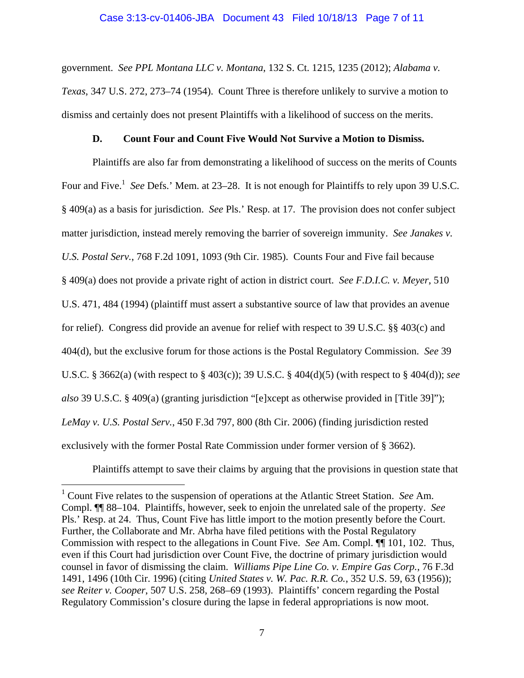government. *See PPL Montana LLC v. Montana*, 132 S. Ct. 1215, 1235 (2012); *Alabama v. Texas*, 347 U.S. 272, 273–74 (1954). Count Three is therefore unlikely to survive a motion to dismiss and certainly does not present Plaintiffs with a likelihood of success on the merits.

#### **D. Count Four and Count Five Would Not Survive a Motion to Dismiss.**

Plaintiffs are also far from demonstrating a likelihood of success on the merits of Counts Four and Five.<sup>1</sup> See Defs.' Mem. at 23–28. It is not enough for Plaintiffs to rely upon 39 U.S.C. § 409(a) as a basis for jurisdiction. *See* Pls.' Resp. at 17. The provision does not confer subject matter jurisdiction, instead merely removing the barrier of sovereign immunity. *See Janakes v. U.S. Postal Serv.*, 768 F.2d 1091, 1093 (9th Cir. 1985). Counts Four and Five fail because § 409(a) does not provide a private right of action in district court. *See F.D.I.C. v. Meyer*, 510 U.S. 471, 484 (1994) (plaintiff must assert a substantive source of law that provides an avenue for relief). Congress did provide an avenue for relief with respect to 39 U.S.C. §§ 403(c) and 404(d), but the exclusive forum for those actions is the Postal Regulatory Commission. *See* 39 U.S.C. § 3662(a) (with respect to § 403(c)); 39 U.S.C. § 404(d)(5) (with respect to § 404(d)); *see also* 39 U.S.C. § 409(a) (granting jurisdiction "[e]xcept as otherwise provided in [Title 39]"); *LeMay v. U.S. Postal Serv.*, 450 F.3d 797, 800 (8th Cir. 2006) (finding jurisdiction rested exclusively with the former Postal Rate Commission under former version of § 3662).

Plaintiffs attempt to save their claims by arguing that the provisions in question state that

 $\overline{a}$ 

<sup>1</sup> Count Five relates to the suspension of operations at the Atlantic Street Station. *See* Am. Compl. ¶¶ 88–104. Plaintiffs, however, seek to enjoin the unrelated sale of the property. *See*  Pls.' Resp. at 24. Thus, Count Five has little import to the motion presently before the Court. Further, the Collaborate and Mr. Abrha have filed petitions with the Postal Regulatory Commission with respect to the allegations in Count Five. *See* Am. Compl. ¶¶ 101, 102. Thus, even if this Court had jurisdiction over Count Five, the doctrine of primary jurisdiction would counsel in favor of dismissing the claim. *Williams Pipe Line Co. v. Empire Gas Corp.*, 76 F.3d 1491, 1496 (10th Cir. 1996) (citing *United States v. W. Pac. R.R. Co.*, 352 U.S. 59, 63 (1956)); *see Reiter v. Cooper*, 507 U.S. 258, 268–69 (1993). Plaintiffs' concern regarding the Postal Regulatory Commission's closure during the lapse in federal appropriations is now moot.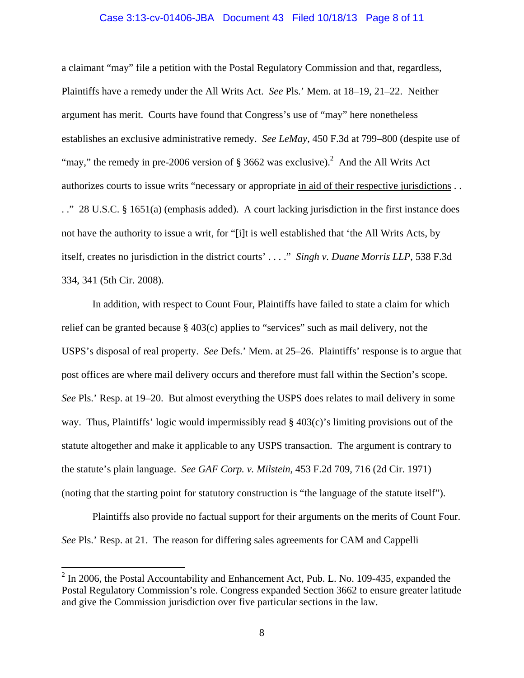#### Case 3:13-cv-01406-JBA Document 43 Filed 10/18/13 Page 8 of 11

a claimant "may" file a petition with the Postal Regulatory Commission and that, regardless, Plaintiffs have a remedy under the All Writs Act. *See* Pls.' Mem. at 18–19, 21–22. Neither argument has merit. Courts have found that Congress's use of "may" here nonetheless establishes an exclusive administrative remedy. *See LeMay*, 450 F.3d at 799–800 (despite use of "may," the remedy in pre-2006 version of  $\S 3662$  was exclusive).<sup>2</sup> And the All Writs Act authorizes courts to issue writs "necessary or appropriate in aid of their respective jurisdictions . . . ." 28 U.S.C. § 1651(a) (emphasis added). A court lacking jurisdiction in the first instance does not have the authority to issue a writ, for "[i]t is well established that 'the All Writs Acts, by itself, creates no jurisdiction in the district courts' . . . ." *Singh v. Duane Morris LLP*, 538 F.3d 334, 341 (5th Cir. 2008).

In addition, with respect to Count Four, Plaintiffs have failed to state a claim for which relief can be granted because § 403(c) applies to "services" such as mail delivery, not the USPS's disposal of real property. *See* Defs.' Mem. at 25–26. Plaintiffs' response is to argue that post offices are where mail delivery occurs and therefore must fall within the Section's scope. *See* Pls.' Resp. at 19–20. But almost everything the USPS does relates to mail delivery in some way. Thus, Plaintiffs' logic would impermissibly read  $\S$  403(c)'s limiting provisions out of the statute altogether and make it applicable to any USPS transaction. The argument is contrary to the statute's plain language. *See GAF Corp. v. Milstein*, 453 F.2d 709, 716 (2d Cir. 1971) (noting that the starting point for statutory construction is "the language of the statute itself").

Plaintiffs also provide no factual support for their arguments on the merits of Count Four. *See* Pls.' Resp. at 21. The reason for differing sales agreements for CAM and Cappelli

 $2 \text{ In } 2006$ , the Postal Accountability and Enhancement Act, Pub. L. No. 109-435, expanded the Postal Regulatory Commission's role. Congress expanded Section 3662 to ensure greater latitude and give the Commission jurisdiction over five particular sections in the law.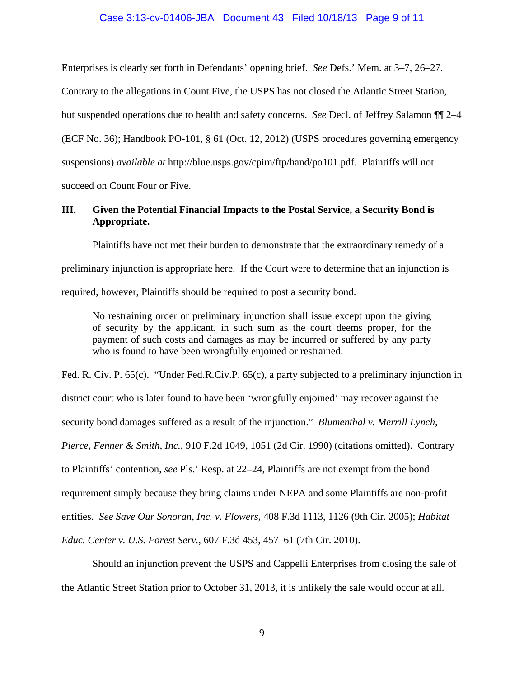### Case 3:13-cv-01406-JBA Document 43 Filed 10/18/13 Page 9 of 11

Enterprises is clearly set forth in Defendants' opening brief. *See* Defs.' Mem. at 3–7, 26–27.

Contrary to the allegations in Count Five, the USPS has not closed the Atlantic Street Station,

but suspended operations due to health and safety concerns. *See* Decl. of Jeffrey Salamon ¶¶ 2–4

(ECF No. 36); Handbook PO-101, § 61 (Oct. 12, 2012) (USPS procedures governing emergency

suspensions) *available at* http://blue.usps.gov/cpim/ftp/hand/po101.pdf. Plaintiffs will not

succeed on Count Four or Five.

## **III. Given the Potential Financial Impacts to the Postal Service, a Security Bond is Appropriate.**

Plaintiffs have not met their burden to demonstrate that the extraordinary remedy of a preliminary injunction is appropriate here. If the Court were to determine that an injunction is required, however, Plaintiffs should be required to post a security bond.

No restraining order or preliminary injunction shall issue except upon the giving of security by the applicant, in such sum as the court deems proper, for the payment of such costs and damages as may be incurred or suffered by any party who is found to have been wrongfully enjoined or restrained.

Fed. R. Civ. P. 65(c). "Under Fed.R.Civ.P. 65(c), a party subjected to a preliminary injunction in district court who is later found to have been 'wrongfully enjoined' may recover against the security bond damages suffered as a result of the injunction." *Blumenthal v. Merrill Lynch, Pierce, Fenner & Smith, Inc.*, 910 F.2d 1049, 1051 (2d Cir. 1990) (citations omitted). Contrary to Plaintiffs' contention, *see* Pls.' Resp. at 22–24, Plaintiffs are not exempt from the bond requirement simply because they bring claims under NEPA and some Plaintiffs are non-profit entities. *See Save Our Sonoran, Inc. v. Flowers*, 408 F.3d 1113, 1126 (9th Cir. 2005); *Habitat Educ. Center v. U.S. Forest Serv.*, 607 F.3d 453, 457–61 (7th Cir. 2010).

Should an injunction prevent the USPS and Cappelli Enterprises from closing the sale of the Atlantic Street Station prior to October 31, 2013, it is unlikely the sale would occur at all.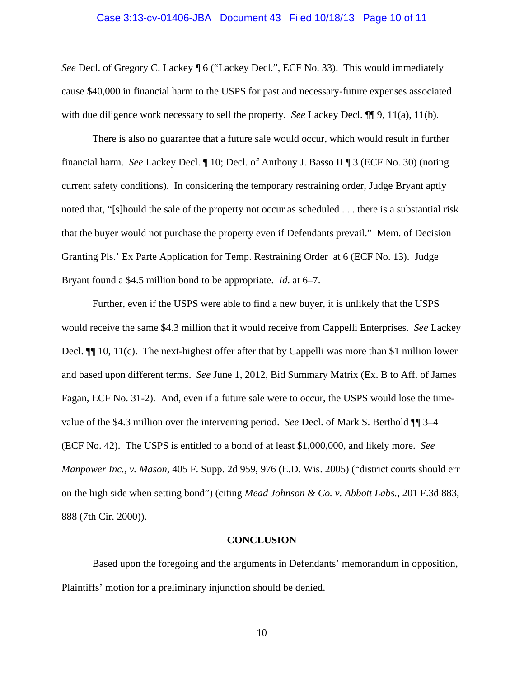## Case 3:13-cv-01406-JBA Document 43 Filed 10/18/13 Page 10 of 11

*See* Decl. of Gregory C. Lackey ¶ 6 ("Lackey Decl.", ECF No. 33). This would immediately cause \$40,000 in financial harm to the USPS for past and necessary-future expenses associated with due diligence work necessary to sell the property. *See Lackey Decl.*  $\P$  9, 11(a), 11(b).

There is also no guarantee that a future sale would occur, which would result in further financial harm. *See* Lackey Decl. ¶ 10; Decl. of Anthony J. Basso II ¶ 3 (ECF No. 30) (noting current safety conditions). In considering the temporary restraining order, Judge Bryant aptly noted that, "[s]hould the sale of the property not occur as scheduled . . . there is a substantial risk that the buyer would not purchase the property even if Defendants prevail." Mem. of Decision Granting Pls.' Ex Parte Application for Temp. Restraining Order at 6 (ECF No. 13). Judge Bryant found a \$4.5 million bond to be appropriate. *Id*. at 6–7.

Further, even if the USPS were able to find a new buyer, it is unlikely that the USPS would receive the same \$4.3 million that it would receive from Cappelli Enterprises. *See* Lackey Decl.  $\P$  10, 11(c). The next-highest offer after that by Cappelli was more than \$1 million lower and based upon different terms. *See* June 1, 2012, Bid Summary Matrix (Ex. B to Aff. of James Fagan, ECF No. 31-2). And, even if a future sale were to occur, the USPS would lose the timevalue of the \$4.3 million over the intervening period. *See* Decl. of Mark S. Berthold ¶¶ 3–4 (ECF No. 42).The USPS is entitled to a bond of at least \$1,000,000, and likely more. *See Manpower Inc., v. Mason*, 405 F. Supp. 2d 959, 976 (E.D. Wis. 2005) ("district courts should err on the high side when setting bond") (citing *Mead Johnson & Co. v. Abbott Labs.*, 201 F.3d 883, 888 (7th Cir. 2000)).

#### **CONCLUSION**

Based upon the foregoing and the arguments in Defendants' memorandum in opposition, Plaintiffs' motion for a preliminary injunction should be denied.